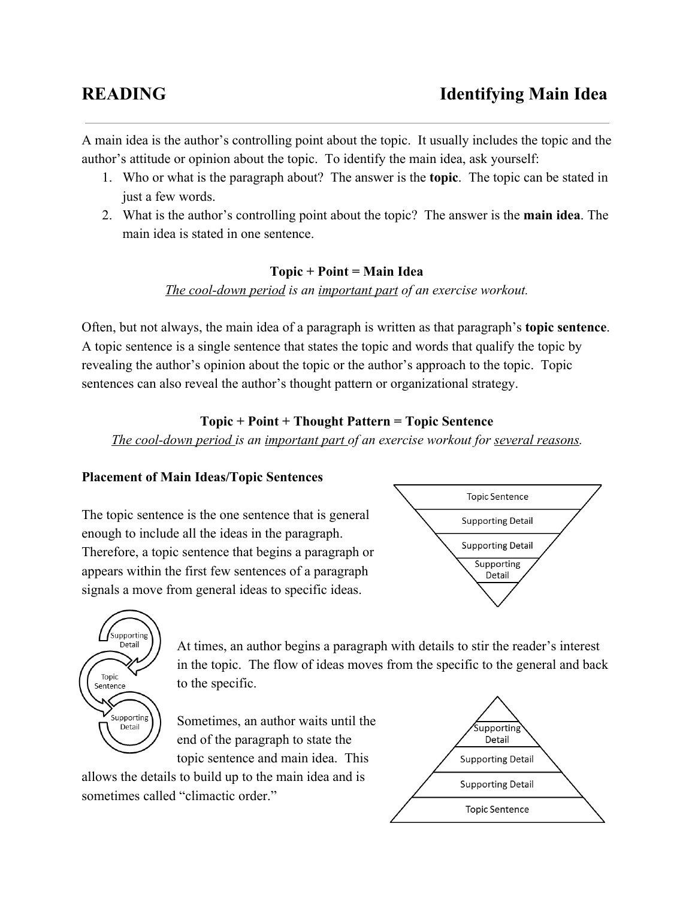A main idea is the author's controlling point about the topic. It usually includes the topic and the author's attitude or opinion about the topic. To identify the main idea, ask yourself:

- 1. Who or what is the paragraph about? The answer is the **topic**. The topic can be stated in just a few words.
- 2. What is the author's controlling point about the topic? The answer is the **main idea**. The main idea is stated in one sentence.

#### **Topic + Point = Main Idea**

*The cool-down period is an important part of an exercise workout.* 

Often, but not always, the main idea of a paragraph is written as that paragraph's **topic sentence**. A topic sentence is a single sentence that states the topic and words that qualify the topic by revealing the author's opinion about the topic or the author's approach to the topic. Topic sentences can also reveal the author's thought pattern or organizational strategy.

## **Topic + Point + Thought Pattern = Topic Sentence**

*The* cool-down period is an *important* part of an exercise workout for <u>several reasons</u>.

#### **Placement of Main Ideas/Topic Sentences**

The topic sentence is the one sentence that is general enough to include all the ideas in the paragraph. Therefore, a topic sentence that begins a paragraph or appears within the first few sentences of a paragraph signals a move from general ideas to specific ideas.





At times, an author begins a paragraph with details to stir the reader's interest in the topic. The flow of ideas moves from the specific to the general and back to the specific.

Sometimes, an author waits until the end of the paragraph to state the topic sentence and main idea. This

allows the details to build up to the main idea and is sometimes called "climactic order."